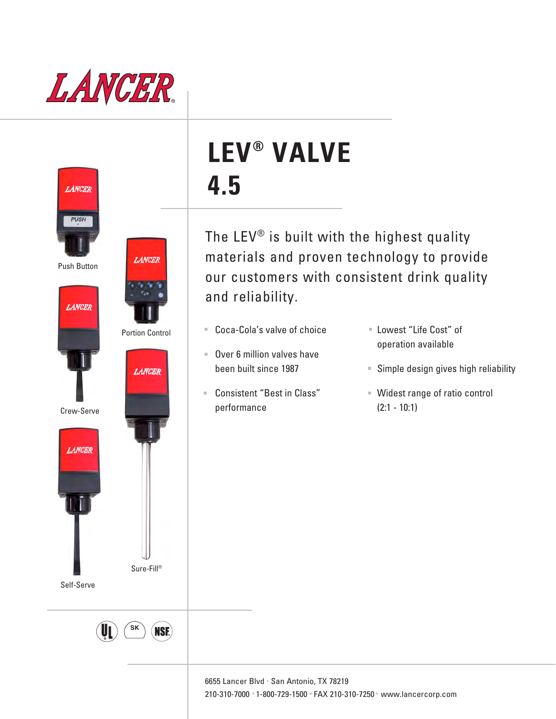





Portion Control

**LANCER** 

**LANCER** 

Crew-Serve



Self-Serve



Sure-Fill®

# **LEV® VALVE 4.5**

The LEV® is built with the highest quality materials and proven technology to provide our customers with consistent drink quality and reliability.

- Coca-Cola's valve of choice
- Over 6 million valves have been built since 1987
- Consistent "Best in Class" performance
- Lowest "Life Cost" of operation available
- Simple design gives high reliability
- Widest range of ratio control (2:1 - 10:1)